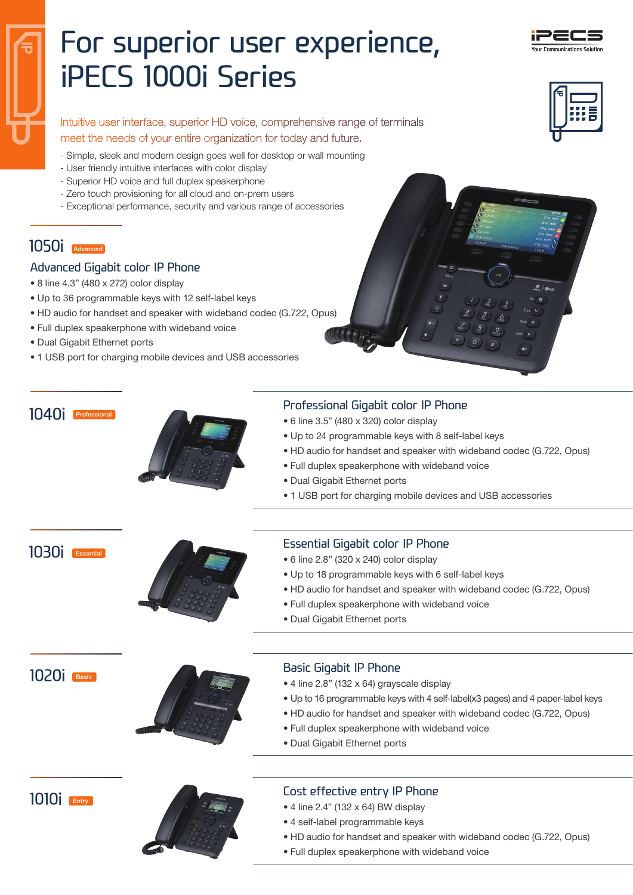

# For superior user experience, iPECS 1000i Series

Intuitive user interface, superior HD voice, comprehensive range of terminals meet the needs of your entire organization for today and future.

- Simple, sleek and modern design goes well for desktop or wall mounting
- User friendly intuitive interfaces with color display
- Superior HD voice and full duplex speakerphone
- Zero touch provisioning for all cloud and on-prem users
- Exceptional performance, security and various range of accessories

# 1050i Advanced

#### Advanced Gigabit color IP Phone

- 8 line 4.3" (480 x 272) color display
- Up to 36 programmable keys with 12 self-label keys
- HD audio for handset and speaker with wideband codec (G.722, Opus)
- Full duplex speakerphone with wideband voice
- Dual Gigabit Ethernet ports
- 1 USB port for charging mobile devices and USB accessories

# 1040i Professional



#### Professional Gigabit color IP Phone

- 6 line 3.5" (480 x 320) color display
- Up to 24 programmable keys with 8 self-label keys
- HD audio for handset and speaker with wideband codec (G.722, Opus)
- Full duplex speakerphone with wideband voice
- Dual Gigabit Ethernet ports
- 1 USB port for charging mobile devices and USB accessories

1030i Essential



## Essential Gigabit color IP Phone

- 6 line 2.8" (320 x 240) color display
- Up to 18 programmable keys with 6 self-label keys
- HD audio for handset and speaker with wideband codec (G.722, Opus)
- Full duplex speakerphone with wideband voice
- Dual Gigabit Ethernet ports

1020i Basic



#### Basic Gigabit IP Phone

- 4 line 2.8" (132 x 64) grayscale display
- Up to 16 programmable keys with 4 self-label(x3 pages) and 4 paper-label keys
- HD audio for handset and speaker with wideband codec (G.722, Opus)
- Full duplex speakerphone with wideband voice
- Dual Gigabit Ethernet ports





## Cost effective entry IP Phone

- 4 line 2.4" (132 x 64) BW display
- 4 self-label programmable keys
- HD audio for handset and speaker with wideband codec (G.722, Opus)
- Full duplex speakerphone with wideband voice